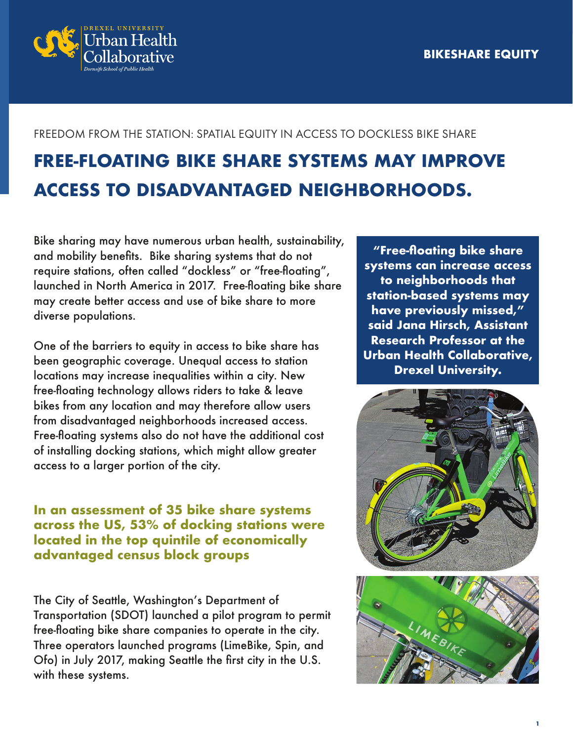

#### FREEDOM FROM THE STATION: SPATIAL EQUITY IN ACCESS TO DOCKLESS BIKE SHARE

# **FREE-FLOATING BIKE SHARE SYSTEMS MAY IMPROVE ACCESS TO DISADVANTAGED NEIGHBORHOODS.**

Bike sharing may have numerous urban health, sustainability, and mobility benefits. Bike sharing systems that do not require stations, often called "dockless" or "free-floating", launched in North America in 2017. Free-floating bike share may create better access and use of bike share to more diverse populations.

One of the barriers to equity in access to bike share has been geographic coverage. Unequal access to station locations may increase inequalities within a city. New free-floating technology allows riders to take & leave bikes from any location and may therefore allow users from disadvantaged neighborhoods increased access. Free-floating systems also do not have the additional cost of installing docking stations, which might allow greater access to a larger portion of the city.

**In an assessment of 35 bike share systems across the US, 53% of docking stations were located in the top quintile of economically advantaged census block groups**

The City of Seattle, Washington's Department of Transportation (SDOT) launched a pilot program to permit free-floating bike share companies to operate in the city. Three operators launched programs (LimeBike, Spin, and Ofo) in July 2017, making Seattle the first city in the U.S. with these systems.

**"Free-floating bike share systems can increase access to neighborhoods that station-based systems may have previously missed," said Jana Hirsch, Assistant Research Professor at the Urban Health Collaborative, Drexel University.**